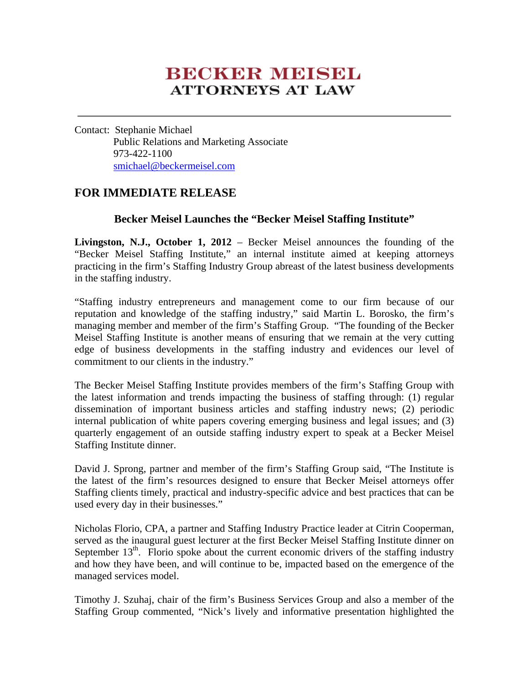## **BECKER MEESEL ATTORNEYS AT LAW**

Contact: Stephanie Michael Public Relations and Marketing Associate 973-422-1100 smichael@beckermeisel.com

## **FOR IMMEDIATE RELEASE**

## **Becker Meisel Launches the "Becker Meisel Staffing Institute"**

**Livingston, N.J., October 1, 2012** – Becker Meisel announces the founding of the "Becker Meisel Staffing Institute," an internal institute aimed at keeping attorneys practicing in the firm's Staffing Industry Group abreast of the latest business developments in the staffing industry.

"Staffing industry entrepreneurs and management come to our firm because of our reputation and knowledge of the staffing industry," said Martin L. Borosko, the firm's managing member and member of the firm's Staffing Group. "The founding of the Becker Meisel Staffing Institute is another means of ensuring that we remain at the very cutting edge of business developments in the staffing industry and evidences our level of commitment to our clients in the industry."

The Becker Meisel Staffing Institute provides members of the firm's Staffing Group with the latest information and trends impacting the business of staffing through: (1) regular dissemination of important business articles and staffing industry news; (2) periodic internal publication of white papers covering emerging business and legal issues; and (3) quarterly engagement of an outside staffing industry expert to speak at a Becker Meisel Staffing Institute dinner.

David J. Sprong, partner and member of the firm's Staffing Group said, "The Institute is the latest of the firm's resources designed to ensure that Becker Meisel attorneys offer Staffing clients timely, practical and industry-specific advice and best practices that can be used every day in their businesses."

Nicholas Florio, CPA, a partner and Staffing Industry Practice leader at Citrin Cooperman, served as the inaugural guest lecturer at the first Becker Meisel Staffing Institute dinner on September  $13<sup>th</sup>$ . Florio spoke about the current economic drivers of the staffing industry and how they have been, and will continue to be, impacted based on the emergence of the managed services model.

Timothy J. Szuhaj, chair of the firm's Business Services Group and also a member of the Staffing Group commented, "Nick's lively and informative presentation highlighted the